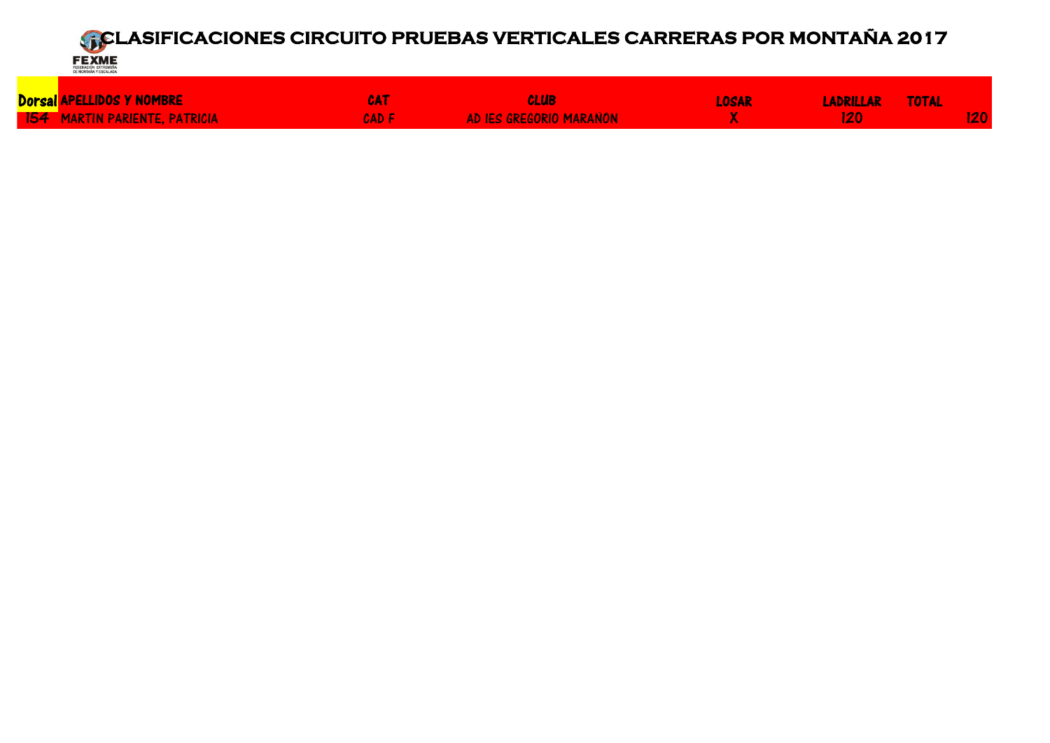Dorsal APELLIDOS Y NOMBRE CAT CLUB LOSAR LADRILLAR TOTAL <u>154 MARTIN PARIENTE, PATRICIA CAD E CAD F AD IES GREGORIO MARAÑÓN NA SANTIN PARIENTE DE 120 120 120 i 120 i 1</u>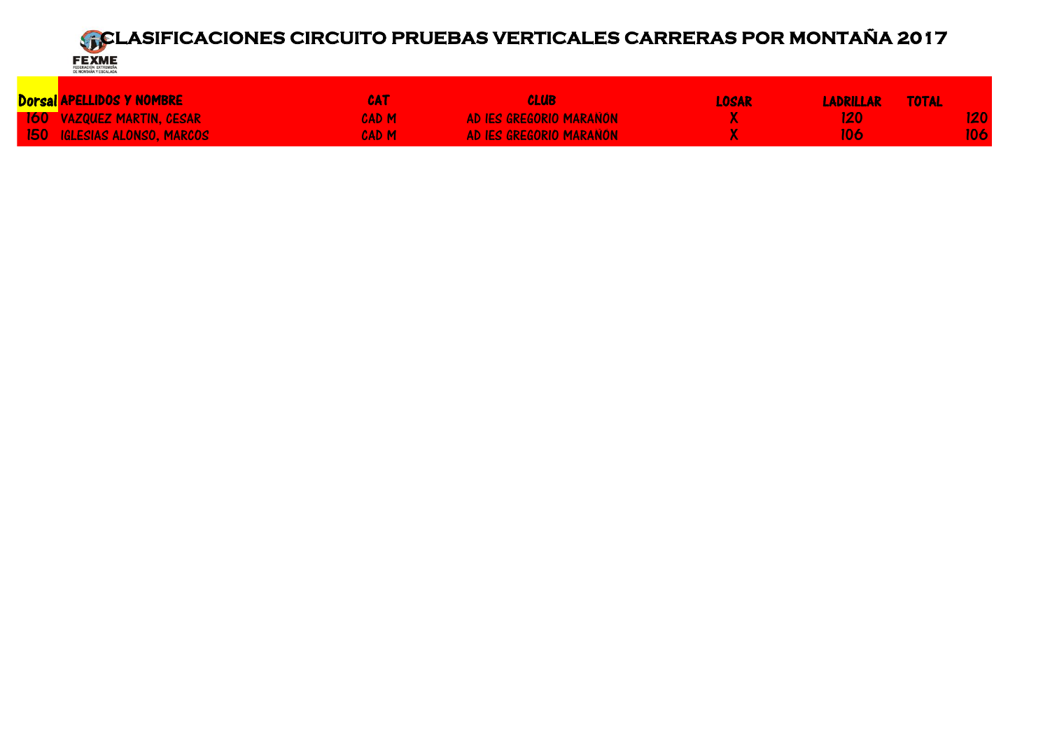

| <mark>Dorsal</mark> APELLIDOS Y NOMBRE | CAT   | CLUB                    | LOSAR | LADRILLAR TOTAL |                  |
|----------------------------------------|-------|-------------------------|-------|-----------------|------------------|
| <b>160 VAZQUEZ MARTIN, CESAR</b>       | CAD M | AD IES GREGORIO MARANÓN |       | 120.            | 120              |
| 150 IGLESIAS ALONSO. MARCOS            | CAD M | AD IES GREGORIO MARAÑÓN |       | UA.             | 106 <sub>1</sub> |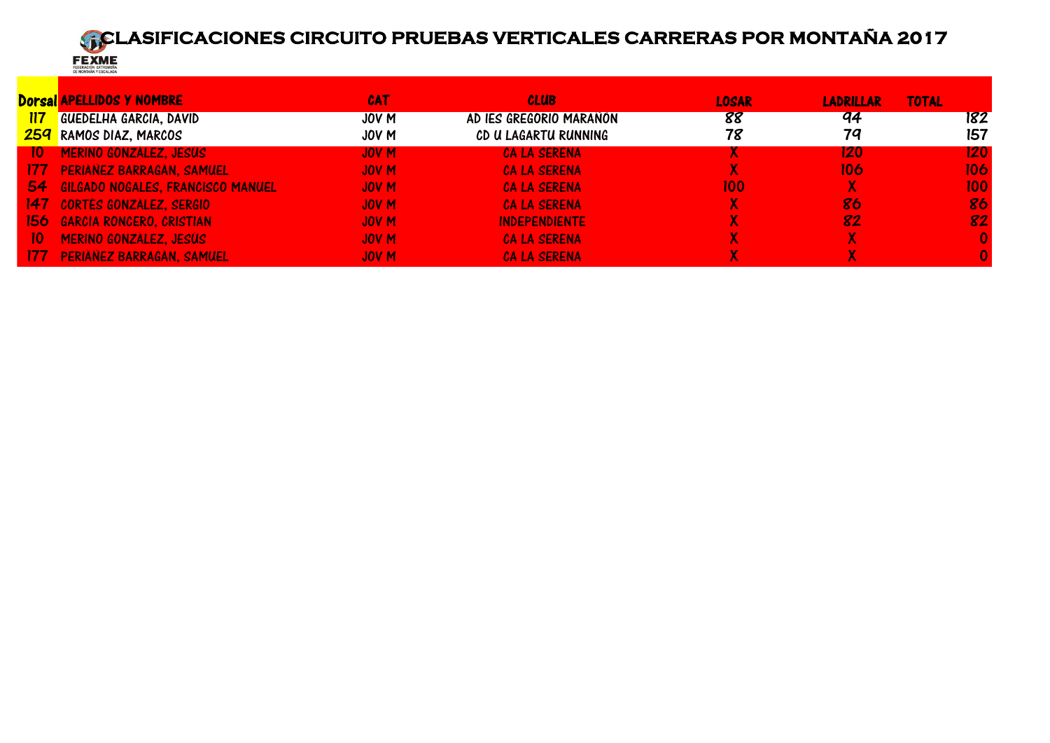

|                 | <b>Dorsal APELLIDOS Y NOMBRE</b>     | <b>CAT</b>       | <b>CLUB</b>             | <b>LOSAR</b> | <b>LADRILLAR</b> | <b>TOTAL</b>     |
|-----------------|--------------------------------------|------------------|-------------------------|--------------|------------------|------------------|
| <u>117</u>      | <b>GUEDELHA GARCIA, DAVID</b>        | JOV M            | AD IES GREGORIO MARANÓN | 88           | 94               | 182              |
|                 | <b>259</b> RAMOS DIAZ, MARCOS        | JOV M            | CD U LAGARTU RUNNING    | 78           | 79               | 157              |
| 10              | MERINO GONZÁLEZ, JESÚS               | <b>JOV M</b>     | <b>CA LA SERENA</b>     |              | 120              | 120 <sub>1</sub> |
|                 | 177 PERIANEZ BARRAGAN, SAMUEL        | JOV <sub>M</sub> | <b>CA LA SERENA</b>     |              | 106              | 106              |
|                 | 54 GILGADO NOGALES, FRANCISCO MANUEL | JOV <sub>M</sub> | <b>CA LA SERENA</b>     | 100          | X.               | 100 <sub>1</sub> |
|                 | 147 CORTÉS GONZALEZ, SERGIO          | JOV <sub>M</sub> | <b>CA LA SERENA</b>     |              | 86               | 86               |
|                 | 156 GARCIA RONCERO, CRISTIAN         | JOV <sub>M</sub> | <b>INDEPENDIENTE</b>    |              | 82               | 82               |
| 10 <sup>°</sup> | MERINO GONZÁLEZ, JESÚS               | JOV <sub>M</sub> | <b>CA LA SERENA</b>     |              |                  | 0                |
| -177            | <b>PERIANEZ BARRAGAN, SAMUEL</b>     | <b>JOV M</b>     | <b>CA LA SERENA</b>     |              |                  |                  |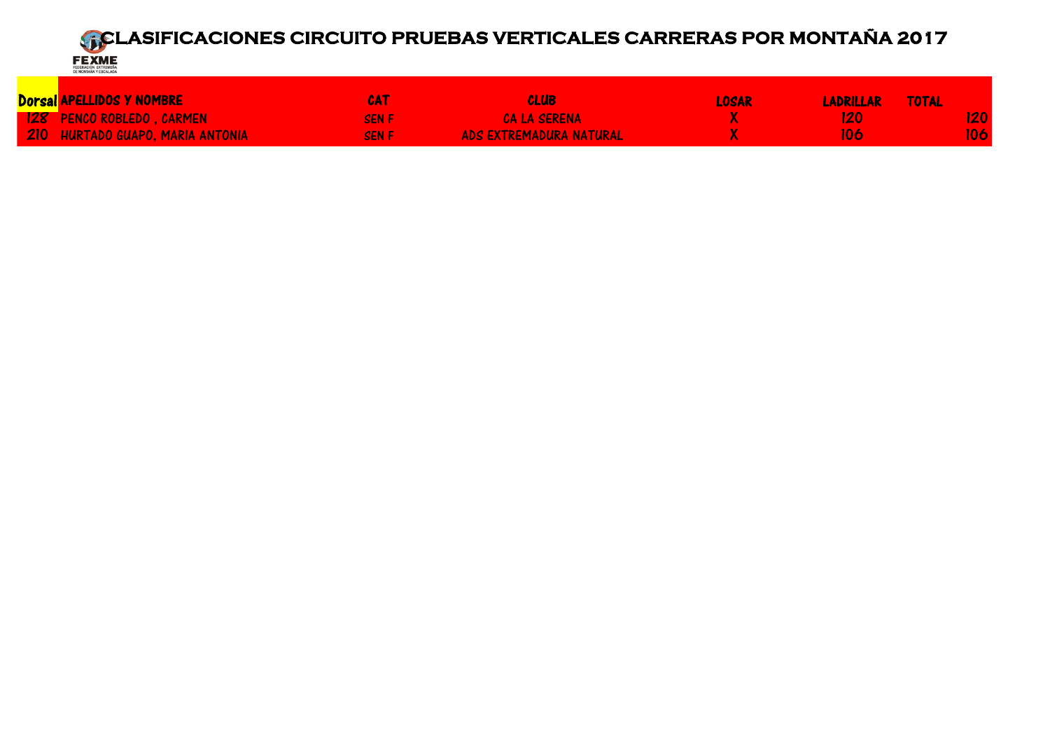

| Dorsal APELLIDOS Y NOMBRE        | CAT          | <b>CLUB</b>                    | <b>LOSAR</b> | <b>LADRILLAR</b> | TOTAL |     |
|----------------------------------|--------------|--------------------------------|--------------|------------------|-------|-----|
| 128 PENCO ROBLEDO, CARMEN        | <b>SEN E</b> | <b>CA LA SERENA</b>            |              | 170.             |       |     |
| 210 HURTADO GUAPO. MARIA ANTONIA | <b>SEN F</b> | <b>ADS EXTREMADURA NATURAL</b> |              | 106              |       | 106 |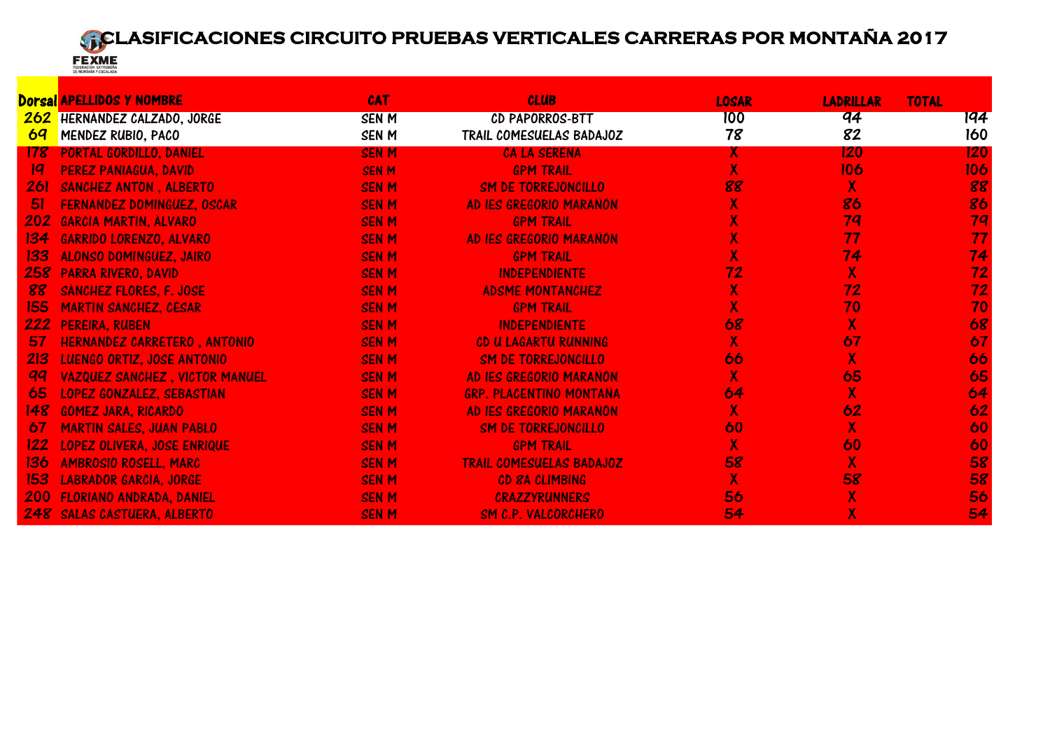

|                | <b>Dorsal APELLIDOS Y NOMBRE</b>      | <b>CAT</b>   | <b>CLUB</b>                     | <b>LOSAR</b>            | <b>LADRILLAR</b>          | <b>TOTAL</b> |
|----------------|---------------------------------------|--------------|---------------------------------|-------------------------|---------------------------|--------------|
| 262            | HERNANDEZ CALZADO, JORGE              | <b>SENM</b>  | CD PAPORROS-BTT                 | 100                     | q <sub>4</sub>            | 194          |
| 6 <sub>q</sub> | MENDEZ RUBIO, PACO                    | <b>SENM</b>  | TRAIL COMESUELAS BADAJOZ        | 78                      | 82                        | 160          |
| 178            | PORTAL GORDILLO, DANIEL               | <b>SEN M</b> | <b>CA LA SERENA</b>             | X.                      | 120                       | 120          |
| 19             | <b>PEREZ PANIAGUA, DAVID</b>          | <b>SEN M</b> | <b>GPM TRAIL</b>                | $\overline{\mathsf{X}}$ | 106                       | 106          |
| 261            | SANCHEZ ANTON, ALBERTO                | <b>SENM</b>  | <b>SM DE TORREJONCILLO</b>      | 88                      | $\mathsf{X}$              | 88           |
| 51             | <b>FERNANDEZ DOMINGUEZ, OSCAR</b>     | <b>SENM</b>  | AD IES GREGORIO MARAÑÓN         | $\overline{\mathsf{X}}$ | 86                        | 86           |
| 202            | <b>GARCIA MARTIN, ALVARO</b>          | <b>SENM</b>  | <b>GPM TRAIL</b>                | $\overline{\mathsf{X}}$ | 79                        | 79           |
| 134            | <b>GARRIDO LORENZO, ALVARO</b>        | <b>SENM</b>  | AD IES GREGORIO MARAÑÓN         | $\mathsf{X}^!$          | 77                        | 77           |
| 133            | <b>ALONSO DOMINGUEZ, JAIRO</b>        | <b>SENM</b>  | <b>GPM TRAIL</b>                | X                       | 74                        | 74           |
| 258            | <b>PARRA RIVERO, DAVID</b>            | <b>SENM</b>  | <b>INDEPENDIENTE</b>            | 72                      | $\overline{\mathsf{X}}$   | 72           |
| 88             | <b>SANCHEZ FLORES, F. JOSE</b>        | <b>SENM</b>  | <b>ADSME MONTANCHEZ</b>         | $\overline{\mathsf{X}}$ | 72                        | 72           |
| 155            | <b>MARTIN SANCHEZ, CESAR</b>          | <b>SENM</b>  | <b>GPM TRAIL</b>                | $\mathbf{X}$            | 70                        | 70           |
| 222            | <b>PEREIRA, RUBEN</b>                 | <b>SENM</b>  | <b>INDEPENDIENTE</b>            | 68                      | $\mathsf{X}$              | 68           |
| 57             | HERNÁNDEZ CARRETERO, ANTONIO          | <b>SENM</b>  | CD U LAGARTU RUNNING            | $\overline{\mathsf{X}}$ | 67                        | 67           |
| 213            | <b>LUENGO ORTIZ, JOSE ANTONIO</b>     | <b>SENM</b>  | <b>SM DE TORREJONCILLO</b>      | 66                      | $\overline{\mathsf{X}}$   | 66           |
| <b>gq</b>      | <b>VAZQUEZ SANCHEZ, VICTOR MANUEL</b> | <b>SENM</b>  | AD IES GREGORIO MARAÑÓN         | $\overline{\mathsf{X}}$ | 65                        | 65           |
| 65             | <b>LOPEZ GONZALEZ, SEBASTIAN</b>      | <b>SENM</b>  | <b>GRP. PLACENTINO MONTANA</b>  | 64                      | $\overline{\mathsf{X}}$   | 64           |
| 148            | <b>GÓMEZ JARA, RICARDO</b>            | <b>SENM</b>  | AD IES GREGORIO MARAÑÓN         | $\overline{\mathsf{x}}$ | 62                        | 62           |
| 67             | <b>MARTIN SALES, JUAN PABLO</b>       | <b>SENM</b>  | <b>SM DE TORREJONCILLO</b>      | 60                      | X                         | 60           |
| 122            | <b>LOPEZ OLIVERA, JOSE ENRIQUE</b>    | <b>SENM</b>  | <b>GPM TRAIL</b>                | $\mathsf{X}^!$          | 60                        | 60           |
| 136            | <b>AMBROSIO ROSELL, MARC</b>          | <b>SEN M</b> | <b>TRAIL COMESUELAS BADAJOZ</b> | 58                      | $\overline{\mathsf{X}}$   | 58           |
| 153            | <b>LABRADOR GARCIA, JORGE</b>         | <b>SENM</b>  | CD 8A CLIMBING                  | $\mathbf{X}$            | 58                        | 58           |
| <b>200</b>     | <b>FLORIANO ANDRADA, DANIEL</b>       | <b>SENM</b>  | <b>CRAZZYRUNNERS</b>            | 56                      | $\boldsymbol{\mathsf{X}}$ | 56           |
|                | <b>248 SALAS CASTUERA, ALBERTO</b>    | <b>SENM</b>  | SM C.P. VALCORCHERO             | 54                      | $\overline{\mathsf{X}}$   | 54           |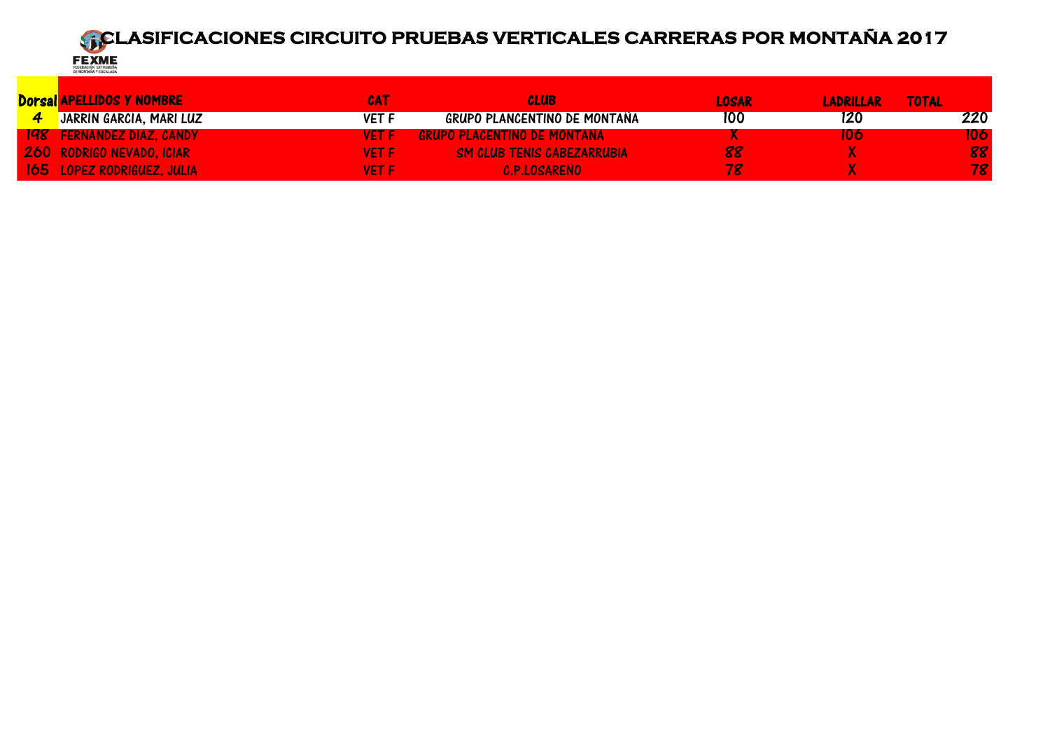D<mark>orsal APELLIDOS Y NOMBRE CAT CAT CAT CLUB CLUB CAT CLUB COMPO DE MONTAÑA COM COMPO DE NOSAR CAT LADRILLAR TOTAL<br>La Catalàna de Catalàna de Catalàna componenta componente componente componente componenta componenta compon</mark> 4 JARRÍN GARCÍA, MARI LUZ VET F GRUPO PLANCENTINO DE MONTAÑA 100 120 220 198 FERNÁNDEZ DIAZ, CANDELACENTINO DE MONTAÑA NEGLES X NA SURFA DE LO SURFADO DE MONTAÑA NEGLES DE LO SURFADO <br>198 - In San Club Tenis Cabezarrubia de los segons de la provincia de la provincia de la provincia de la prov<br>1 260 RODRIGO NEVADO, ICIAR VET F SM CLUB TENIS CABEZARRUBIA 88 X 88 165 LÓPEZ RODRIGUEZ, JULIA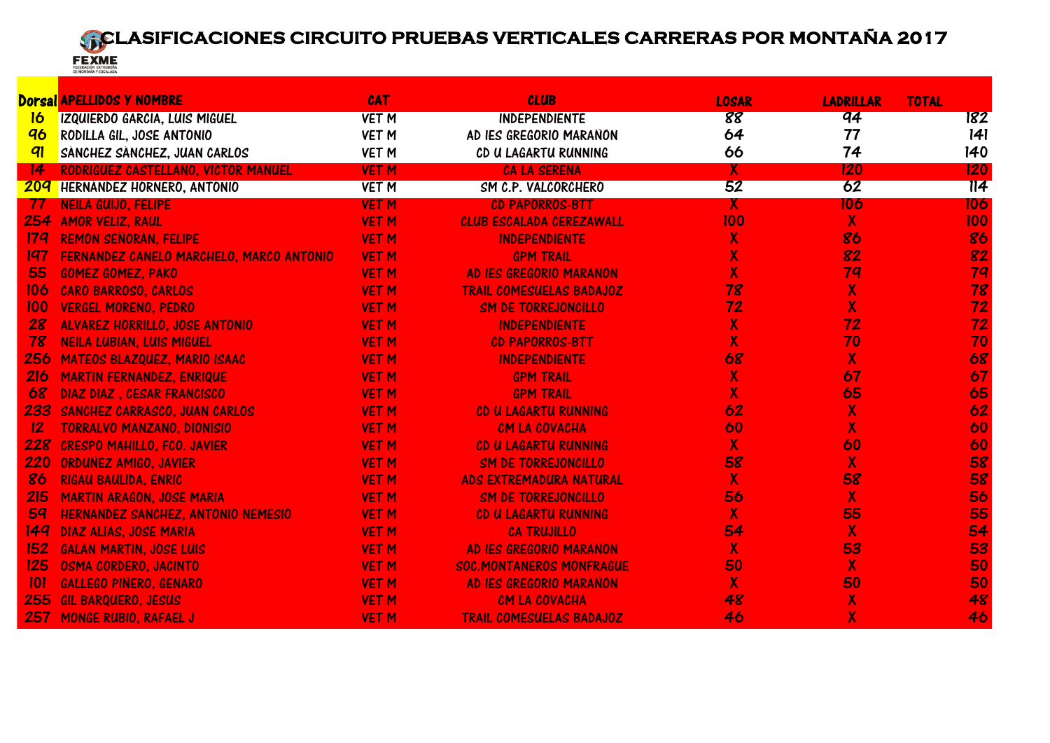

|     | <b>Dorsal APELLIDOS Y NOMBRE</b>         | <b>CAT</b>   | <b>CLUB</b>                     | <b>LOSAR</b>            | <b>LADRILLAR</b>          | <b>TOTAL</b>     |
|-----|------------------------------------------|--------------|---------------------------------|-------------------------|---------------------------|------------------|
| 16  | <b>IZQUIERDO GARCIA, LUIS MIGUEL</b>     | <b>VET M</b> | <b>INDEPENDIENTE</b>            | 88                      | q <sub>4</sub>            | 182              |
| 96  | RODILLA GIL, JOSE ANTONIO                | <b>VET M</b> | AD IES GREGORIO MARAÑÓN         | 64                      | 77                        | 141              |
| 91  | SÁNCHEZ SÁNCHEZ, JUAN CARLOS             | <b>VET M</b> | CD U LAGARTU RUNNING            | 66                      | 74                        | 140              |
| 14  | RODRIGUEZ CASTELLANO, VICTOR MANUEL      | <b>VET M</b> | <b>CA LA SERENA</b>             | Χ.                      | 120                       | 120              |
| 209 | HERNANDEZ HORNERO, ANTONIO               | <b>VET M</b> | SM C.P. VALCORCHERO             | 52                      | 62                        | $\overline{114}$ |
| -77 | <b>NEILA GUIJO, FELIPE</b>               | <b>VET M</b> | <b>CD PAPORROS-BTT</b>          | $\mathsf{X}$            | 106                       | 106              |
| 254 | <b>AMOR VELIZ, RAUL</b>                  | <b>VET M</b> | <b>CLUB ESCALADA CEREZAWALL</b> | 100                     | $\overline{\mathsf{X}}$   | 100              |
| 174 | REMÓN SEÑORÁN, FELIPE                    | <b>VET M</b> | <b>INDEPENDIENTE</b>            | $\overline{\mathsf{X}}$ | 86                        | 86               |
| 197 | FERNANDEZ CANELO MARCHELO, MARCO ANTONIO | <b>VET M</b> | <b>GPM TRAIL</b>                | X                       | 82                        | 82               |
| 55  | GÓMEZ GÓMEZ, PAKO                        | <b>VET M</b> | AD IES GREGORIO MARAÑÓN         | $\overline{\mathsf{X}}$ | 79                        | 79               |
| 106 | <b>CARO BARROSO, CARLOS</b>              | <b>VET M</b> | <b>TRAIL COMESUELAS BADAJOZ</b> | 78                      | $\overline{\mathsf{X}}$   | 78               |
| 100 | <b>VERGEL MORENO, PEDRO</b>              | <b>VET M</b> | <b>SM DE TORREJONCILLO</b>      | 72                      | $\overline{\mathsf{X}}$   | 72               |
| 28  | <b>ALVAREZ HORRILLO, JOSE ANTONIO</b>    | <b>VET M</b> | <b>INDEPENDIENTE</b>            | $\overline{\mathsf{X}}$ | 72                        | 72               |
| 78  | <b>NEILA LUBIAN, LUIS MIGUEL</b>         | <b>VET M</b> | <b>CD PAPORROS-BTT</b>          | $\overline{\mathsf{X}}$ | 70                        | 70               |
| 256 | <b>MATEOS BLAZQUEZ, MARIO ISAAC</b>      | <b>VET M</b> | <b>INDEPENDIENTE</b>            | 68                      | $\boldsymbol{X}$          | 68               |
| 216 | <b>MARTIN FERNANDEZ, ENRIQUE</b>         | <b>VET M</b> | <b>GPM TRAIL</b>                | $\overline{\mathsf{X}}$ | 67                        | 67               |
| 68  | <b>DIAZ DIAZ. CESAR FRANCISCO</b>        | <b>VET M</b> | <b>GPM TRAIL</b>                | $\overline{\mathsf{X}}$ | 65                        | 65               |
| 233 | SANCHEZ CARRASCO, JUAN CARLOS            | <b>VET M</b> | CD U LAGARTU RUNNING            | 62                      | $\boldsymbol{\mathsf{X}}$ | 62               |
| 12  | <b>TORRALVO MANZANO, DIONISIO</b>        | <b>VET M</b> | CM LA COVACHA                   | 60                      | $\overline{\mathbf{X}}$   | 60               |
| 228 | <b>CRESPO MAHILLO, FCO. JAVIER</b>       | <b>VET M</b> | CD U LAGARTU RUNNING            | $\overline{\mathsf{X}}$ | 60                        | 60               |
| 220 | <b>ORDUNEZ AMIGO, JAVIER</b>             | <b>VET M</b> | <b>SM DE TORREJONCILLO</b>      | 58                      | $\mathbf{X}$              | 58               |
| 86  | <b>RIGAU BAULIDA, ENRIC</b>              | <b>VET M</b> | <b>ADS EXTREMADURA NATURAL</b>  | $\mathbf{X}$            | 58                        | 58               |
| 215 | <b>MARTIN ARAGON, JOSE MARIA</b>         | <b>VET M</b> | SM DE TORREJONCILLO             | 56                      | $\overline{\mathsf{X}}$   | 56               |
| 59  | HERNÁNDEZ SÁNCHEZ, ANTONIO NEMESIO       | <b>VET M</b> | CD U LAGARTU RUNNING            | $\overline{\mathsf{X}}$ | 55                        | 55               |
| 149 | <b>DIAZ ALIAS, JOSE MARIA</b>            | <b>VET M</b> | <b>CA TRUJILLO</b>              | 54                      | $\overline{\mathsf{X}}$   | 54               |
| 152 | <b>GALÁN MARTIN, JOSE LUIS</b>           | <b>VET M</b> | AD IES GREGORIO MARAÑÓN         | $\overline{\mathsf{X}}$ | 53                        | 53               |
| 125 | OSMA CORDERO, JACINTO                    | <b>VET M</b> | <b>SOC.MONTANEROS MONFRAGÜE</b> | 50                      | $\boldsymbol{X}$          | 50               |
| 101 | <b>GALLEGO PIÑERO, GENARO</b>            | <b>VET M</b> | AD IES GREGORIO MARAÑÓN         | $\mathsf{X}$            | 50                        | 50               |
| 255 | <b>GIL BARQUERO, JESUS</b>               | <b>VET M</b> | CM LA COVACHA                   | 48                      | $\boldsymbol{X}$          | 48               |
| 257 | <b>MONGE RUBIO, RAFAEL J</b>             | <b>VET M</b> | <b>TRAIL COMESUELAS BADAJOZ</b> | 46                      | $\overline{\mathsf{X}}$   | 46               |